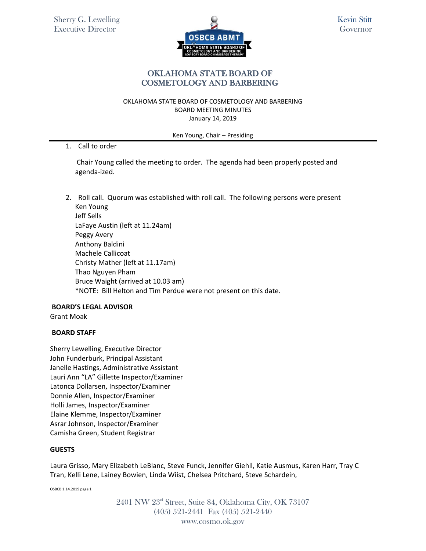

Kevin Stitt Governor

# OKLAHOMA STATE BOARD OF COSMETOLOGY AND BARBERING

OKLAHOMA STATE BOARD OF COSMETOLOGY AND BARBERING BOARD MEETING MINUTES January 14, 2019

Ken Young, Chair – Presiding

1. Call to order

Chair Young called the meeting to order. The agenda had been properly posted and agenda-ized.

2. Roll call. Quorum was established with roll call. The following persons were present Ken Young Jeff Sells LaFaye Austin (left at 11.24am) Peggy Avery Anthony Baldini Machele Callicoat Christy Mather (left at 11.17am) Thao Nguyen Pham Bruce Waight (arrived at 10.03 am) \*NOTE: Bill Helton and Tim Perdue were not present on this date.

#### **BOARD'S LEGAL ADVISOR**

Grant Moak

#### **BOARD STAFF**

Sherry Lewelling, Executive Director John Funderburk, Principal Assistant Janelle Hastings, Administrative Assistant Lauri Ann "LA" Gillette Inspector/Examiner Latonca Dollarsen, Inspector/Examiner Donnie Allen, Inspector/Examiner Holli James, Inspector/Examiner Elaine Klemme, Inspector/Examiner Asrar Johnson, Inspector/Examiner Camisha Green, Student Registrar

#### **GUESTS**

Laura Grisso, Mary Elizabeth LeBlanc, Steve Funck, Jennifer Giehll, Katie Ausmus, Karen Harr, Tray C Tran, Kelli Lene, Lainey Bowien, Linda Wiist, Chelsea Pritchard, Steve Schardein,

OSBCB 1.14.2019 page 1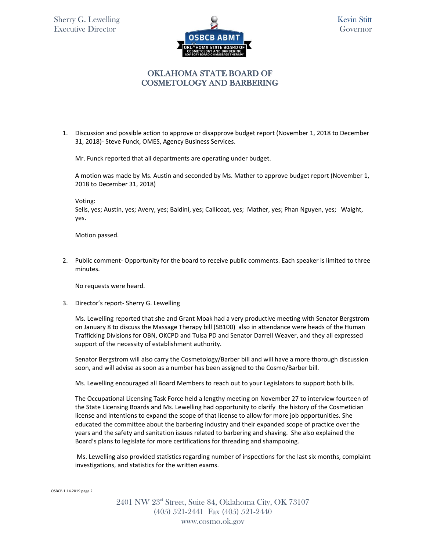

# OKLAHOMA STATE BOARD OF COSMETOLOGY AND BARBERING

1. Discussion and possible action to approve or disapprove budget report (November 1, 2018 to December 31, 2018)- Steve Funck, OMES, Agency Business Services.

Mr. Funck reported that all departments are operating under budget.

A motion was made by Ms. Austin and seconded by Ms. Mather to approve budget report (November 1, 2018 to December 31, 2018)

Voting:

Sells, yes; Austin, yes; Avery, yes; Baldini, yes; Callicoat, yes; Mather, yes; Phan Nguyen, yes; Waight, yes.

Motion passed.

2. Public comment- Opportunity for the board to receive public comments. Each speaker is limited to three minutes.

No requests were heard.

3. Director's report- Sherry G. Lewelling

Ms. Lewelling reported that she and Grant Moak had a very productive meeting with Senator Bergstrom on January 8 to discuss the Massage Therapy bill (SB100) also in attendance were heads of the Human Trafficking Divisions for OBN, OKCPD and Tulsa PD and Senator Darrell Weaver, and they all expressed support of the necessity of establishment authority.

Senator Bergstrom will also carry the Cosmetology/Barber bill and will have a more thorough discussion soon, and will advise as soon as a number has been assigned to the Cosmo/Barber bill.

Ms. Lewelling encouraged all Board Members to reach out to your Legislators to support both bills.

The Occupational Licensing Task Force held a lengthy meeting on November 27 to interview fourteen of the State Licensing Boards and Ms. Lewelling had opportunity to clarify the history of the Cosmetician license and intentions to expand the scope of that license to allow for more job opportunities. She educated the committee about the barbering industry and their expanded scope of practice over the years and the safety and sanitation issues related to barbering and shaving. She also explained the Board's plans to legislate for more certifications for threading and shampooing.

Ms. Lewelling also provided statistics regarding number of inspections for the last six months, complaint investigations, and statistics for the written exams.

OSBCB 1.14.2019 page 2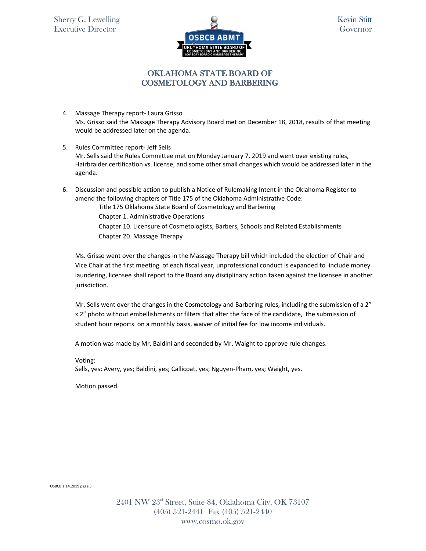

# OKLAHOMA STATE BOARD OF COSMETOLOGY AND BARBERING

- 4. Massage Therapy report- Laura Grisso Ms. Grisso said the Massage Therapy Advisory Board met on December 18, 2018, results of that meeting would be addressed later on the agenda.
- 5. Rules Committee report- Jeff Sells Mr. Sells said the Rules Committee met on Monday January 7, 2019 and went over existing rules, Hairbraider certification vs. license, and some other small changes which would be addressed later in the agenda.
- 6. Discussion and possible action to publish a Notice of Rulemaking Intent in the Oklahoma Register to amend the following chapters of Title 175 of the Oklahoma Administrative Code:

 Title 175 Oklahoma State Board of Cosmetology and Barbering Chapter 1. Administrative Operations Chapter 10. Licensure of Cosmetologists, Barbers, Schools and Related Establishments Chapter 20. Massage Therapy

Ms. Grisso went over the changes in the Massage Therapy bill which included the election of Chair and Vice Chair at the first meeting of each fiscal year, unprofessional conduct is expanded to include money laundering, licensee shall report to the Board any disciplinary action taken against the licensee in another jurisdiction.

Mr. Sells went over the changes in the Cosmetology and Barbering rules, including the submission of a 2" x 2" photo without embellishments or filters that alter the face of the candidate, the submission of student hour reports on a monthly basis, waiver of initial fee for low income individuals.

A motion was made by Mr. Baldini and seconded by Mr. Waight to approve rule changes.

Voting:

Sells, yes; Avery, yes; Baldini, yes; Callicoat, yes; Nguyen-Pham, yes; Waight, yes.

Motion passed.

OSBCB 1.14.2019 page 3